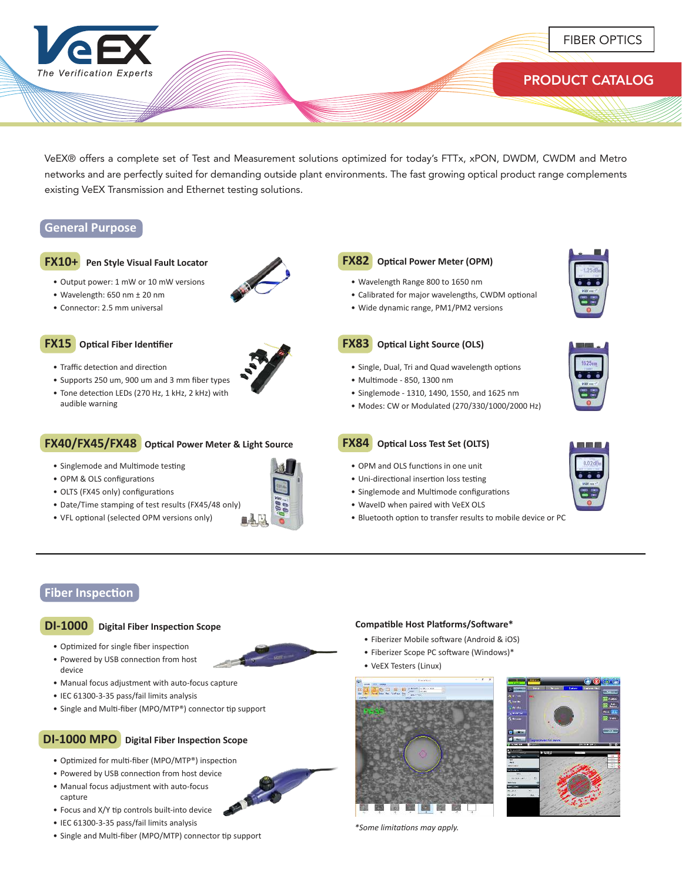

VeEX® offers a complete set of Test and Measurement solutions optimized for today's FTTx, xPON, DWDM, CWDM and Metro networks and are perfectly suited for demanding outside plant environments. The fast growing optical product range complements existing VeEX Transmission and Ethernet testing solutions.

## **General Purpose**

### **FX10+ Pen Style Visual Fault Locator**

- Output power: 1 mW or 10 mW versions
- Wavelength: 650 nm ± 20 nm
- Connector: 2.5 mm universal

### **FX15 Optical Fiber Identifier**

- Traffic detection and direction
- • Supports 250 um, 900 um and 3 mm fiber types • Tone detection LEDs (270 Hz, 1 kHz, 2 kHz) with audible warning

## **FX40/FX45/FX48 Optical Power Meter & Light Source**

- Singlemode and Multimode testing
- OPM & OLS configurations
- OLTS (FX45 only) configurations
- Date/Time stamping of test results (FX45/48 only)
- VFL optional (selected OPM versions only)



## **FX82 Optical Power Meter (OPM)**

- Wavelength Range 800 to 1650 nm
- Calibrated for major wavelengths, CWDM optional
- Wide dynamic range, PM1/PM2 versions



## **FX83 Optical Light Source (OLS)**

- Single, Dual, Tri and Quad wavelength options
- • Multimode - 850, 1300 nm
- Singlemode 1310, 1490, 1550, and 1625 nm
- Modes: CW or Modulated (270/330/1000/2000 Hz)
- **FX84 Optical Loss Test Set (OLTS)**
- OPM and OLS functions in one unit
- Uni-directional insertion loss testing
- Singlemode and Multimode configurations
- WaveID when paired with VeEX OLS
- Bluetooth option to transfer results to mobile device or PC



## **Fiber Inspection**

## **DI-1000 Digital Fiber Inspection Scope**

- Optimized for single fiber inspection
- Powered by USB connection from host device
- Manual focus adjustment with auto-focus capture
- IEC 61300-3-35 pass/fail limits analysis
- Single and Multi-fiber (MPO/MTP®) connector tip support

## **DI-1000 MPO Digital Fiber Inspection Scope**

- Optimized for multi-fiber (MPO/MTP®) inspection
- Powered by USB connection from host device
- Manual focus adjustment with auto-focus capture
- Focus and X/Y tip controls built-into device
- IEC 61300-3-35 pass/fail limits analysis
- Single and Multi-fiber (MPO/MTP) connector tip support

## **Compatible Host Platforms/Software\***

- Fiberizer Mobile software (Android & iOS)
- Fiberizer Scope PC software (Windows)\*
- VeEX Testers (Linux)







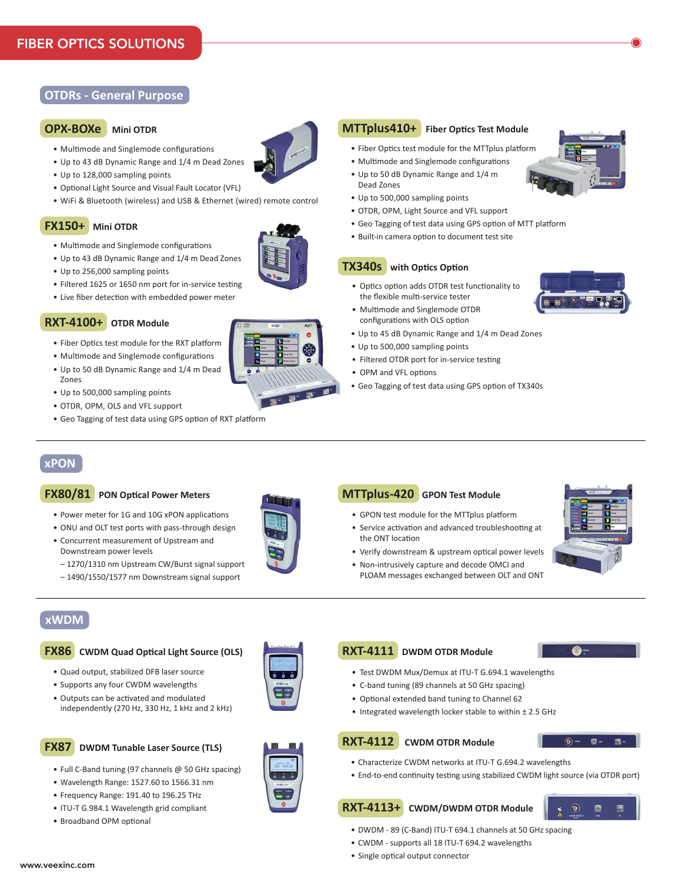# **OTDRs - General Purpose**

## **OPX-BOXe Mini OTDR**

- Multimode and Singlemode configurations
- Up to 43 dB Dynamic Range and 1/4 m Dead Zones
- Up to 128,000 sampling points
- Optional Light Source and Visual Fault Locator (VFL)
- WiFi & Bluetooth (wireless) and USB & Ethernet (wired) remote control

# **FX150+ Mini OTDR**

- Multimode and Singlemode configurations
- Up to 43 dB Dynamic Range and 1/4 m Dead Zones
- Up to 256,000 sampling points
- Filtered 1625 or 1650 nm port for in-service testing
- Live fiber detection with embedded power meter

# **RXT-4100+ OTDR Module**

- Fiber Optics test module for the RXT platform
- Multimode and Singlemode configurations
- Up to 50 dB Dynamic Range and 1/4 m Dead Zones
- Up to 500,000 sampling points
- OTDR, OPM, OLS and VFL support
- Geo Tagging of test data using GPS option of RXT platform

# **xPON**

#### **FX80/81 PON Optical Power Meters**

- Power meter for 1G and 10G xPON applications
- ONU and OLT test ports with pass-through design
- Concurrent measurement of Upstream and Downstream power levels
- 1270/1310 nm Upstream CW/Burst signal support
- 1490/1550/1577 nm Downstream signal support

# **xWDM**

## **FX86 CWDM Quad Optical Light Source (OLS)**

- Quad output, stabilized DFB laser source
- Supports any four CWDM wavelengths
- Outputs can be activated and modulated independently (270 Hz, 330 Hz, 1 kHz and 2 kHz)

## **FX87 DWDM Tunable Laser Source (TLS)**

- Full C-Band tuning (97 channels @ 50 GHz spacing)
- Wavelength Range: 1527.60 to 1566.31 nm
- Frequency Range: 191.40 to 196.25 THz
- ITU-T G.984.1 Wavelength grid compliant
- Broadband OPM optional



- Fiber Optics test module for the MTTplus platform
- Multimode and Singlemode configurations
- Up to 50 dB Dynamic Range and 1/4 m Dead Zones
- Up to 500,000 sampling points
- OTDR, OPM, Light Source and VFL support
- Geo Tagging of test data using GPS option of MTT platform
- Built-in camera option to document test site

## **TX340s with Optics Option**

- Optics option adds OTDR test functionality to the flexible multi-service tester
- Multimode and Singlemode OTDR configurations with OLS option
- Up to 45 dB Dynamic Range and 1/4 m Dead Zones
- Up to 500,000 sampling points
- Filtered OTDR port for in-service testing
- OPM and VFL options
- Geo Tagging of test data using GPS option of TX340s



- GPON test module for the MTTplus platform
- Service activation and advanced troubleshooting at the ONT location
- Verify downstream & upstream optical power levels
- Non-intrusively capture and decode OMCI and PLOAM messages exchanged between OLT and ONT





- 
- Test DWDM Mux/Demux at ITU-T G.694.1 wavelengths
- C-band tuning (89 channels at 50 GHz spacing)
- Optional extended band tuning to Channel 62
- Integrated wavelength locker stable to within  $\pm$  2.5 GHz

### **RXT-4112 CWDM OTDR Module**



- Characterize CWDM networks at ITU-T G.694.2 wavelengths
- End-to-end continuity testing using stabilized CWDM light source (via OTDR port)

# **RXT-4113+ CWDM/DWDM OTDR Module**

- DWDM 89 (C-Band) ITU-T 694.1 channels at 50 GHz spacing
- CWDM supports all 18 ITU-T 694.2 wavelengths
- Single optical output connector







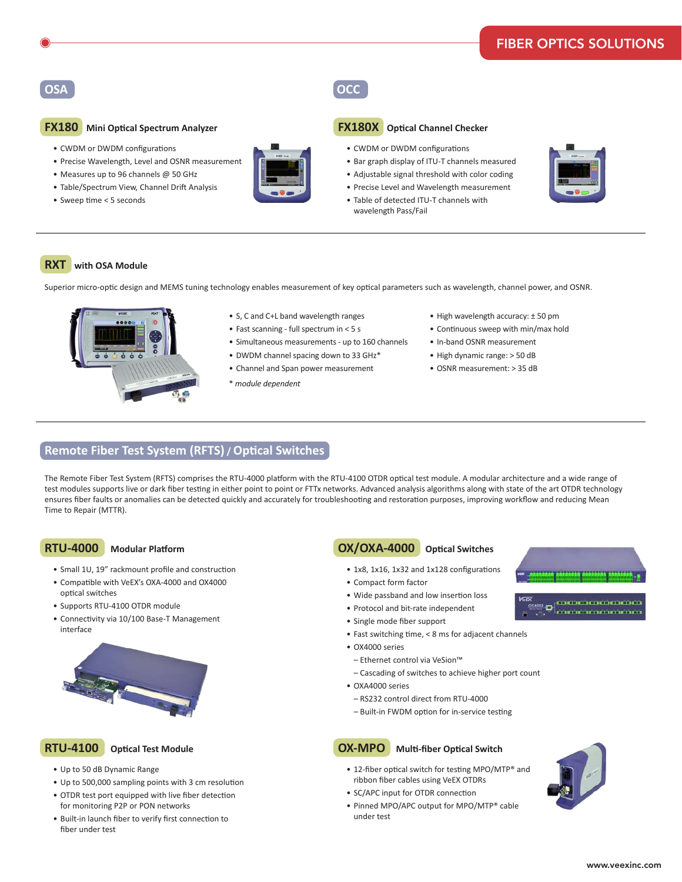# **OSA OCC**

#### **FX180 Mini Optical Spectrum Analyzer**

- CWDM or DWDM configurations
- Precise Wavelength, Level and OSNR measurement
- Measures up to 96 channels  $@$  50 GHz
- Table/Spectrum View, Channel Drift Analysis
- Sweep time < 5 seconds



- **FX180X Optical Channel Checker**
	- CWDM or DWDM configurations

wavelength Pass/Fail

- Bar graph display of ITU-T channels measured
- Adjustable signal threshold with color coding
- Precise Level and Wavelength measurement
- Table of detected ITU-T channels with



## **RXT with OSA Module**

Superior micro-optic design and MEMS tuning technology enables measurement of key optical parameters such as wavelength, channel power, and OSNR.



- S, C and C+L band wavelength ranges
- $\bullet$  Fast scanning full spectrum in < 5 s
- Simultaneous measurements up to 160 channels
- DWDM channel spacing down to 33 GHz\*
- Channel and Span power measurement
- \* *module dependent*
- High wavelength accuracy: ± 50 pm
- Continuous sweep with min/max hold
- • In-band OSNR measurement
- High dynamic range: > 50 dB
- OSNR measurement: > 35 dB

### **Remote Fiber Test System (RFTS) / Optical Switches**

The Remote Fiber Test System (RFTS) comprises the RTU-4000 platform with the RTU-4100 OTDR optical test module. A modular architecture and a wide range of test modules supports live or dark fiber testing in either point to point or FTTx networks. Advanced analysis algorithms along with state of the art OTDR technology ensures fiber faults or anomalies can be detected quickly and accurately for troubleshooting and restoration purposes, improving workflow and reducing Mean Time to Repair (MTTR).

#### **RTU-4000 Modular Platform**

- Small 1U, 19" rackmount profile and construction
- Compatible with VeEX's OXA-4000 and OX4000 optical switches
- Supports RTU-4100 OTDR module
- Connectivity via 10/100 Base-T Management interface



## **RTU-4100 Optical Test Module**

- • Up to 50 dB Dynamic Range
- Up to 500,000 sampling points with 3 cm resolution
- OTDR test port equipped with live fiber detection for monitoring P2P or PON networks
- • Built-in launch fiber to verify first connection to fiber under test

## **OX/OXA-4000 Optical Switches**

- 1x8, 1x16, 1x32 and 1x128 configurations
- Compact form factor
- Wide passband and low insertion loss
- Protocol and bit-rate independent
- Single mode fiber support
- Fast switching time, < 8 ms for adjacent channels
- OX4000 series
- Ethernet control via VeSion™
- Cascading of switches to achieve higher port count
- OXA4000 series
- RS232 control direct from RTU-4000
- Built-in FWDM option for in-service testing



# **OX-MPO Multi-fiber Optical Switch**

- 12-fiber optical switch for testing MPO/MTP® and ribbon fiber cables using VeEX OTDRs
- SC/APC input for OTDR connection
- Pinned MPO/APC output for MPO/MTP® cable under test



030303030303030303

**CONTROLLATION DED** 

® o